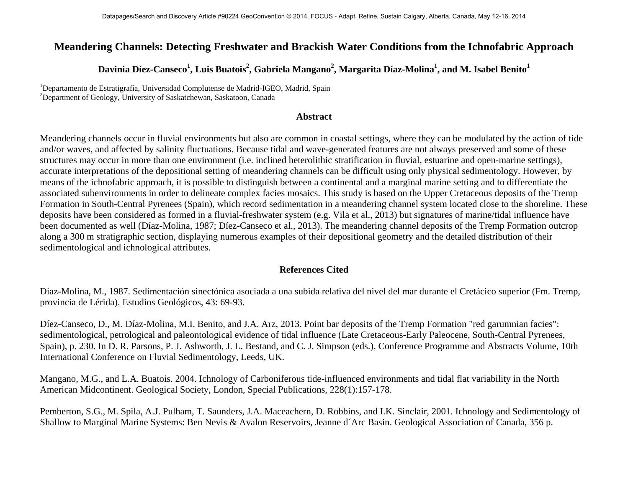## **Meandering Channels: Detecting Freshwater and Brackish Water Conditions from the Ichnofabric Approach**

## $\rm\,Davinia\,Díez-Canseco<sup>1</sup>, Luis Buatois<sup>2</sup>, Gabriela Mangano<sup>2</sup>, Margarita Díaz-Molina<sup>1</sup>, and M. Isabel Benito<sup>1</sup>$

<sup>1</sup>Departamento de Estratigrafía, Universidad Complutense de Madrid-IGEO, Madrid, Spain<br><sup>2</sup>Department of Goology, University of Secletabewan, Secletaen, Canada <sup>2</sup>Department of Geology, University of Saskatchewan, Saskatoon, Canada

## **Abstract**

Meandering channels occur in fluvial environments but also are common in coastal settings, where they can be modulated by the action of tide and/or waves, and affected by salinity fluctuations. Because tidal and wave-generated features are not always preserved and some of these structures may occur in more than one environment (i.e. inclined heterolithic stratification in fluvial, estuarine and open-marine settings), accurate interpretations of the depositional setting of meandering channels can be difficult using only physical sedimentology. However, by means of the ichnofabric approach, it is possible to distinguish between a continental and a marginal marine setting and to differentiate the associated subenvironments in order to delineate complex facies mosaics. This study is based on the Upper Cretaceous deposits of the Tremp Formation in South-Central Pyrenees (Spain), which record sedimentation in a meandering channel system located close to the shoreline. These deposits have been considered as formed in a fluvial-freshwater system (e.g. Vila et al., 2013) but signatures of marine/tidal influence have been documented as well (Díaz-Molina, 1987; Díez-Canseco et al., 2013). The meandering channel deposits of the Tremp Formation outcrop along a 300 m stratigraphic section, displaying numerous examples of their depositional geometry and the detailed distribution of their sedimentological and ichnological attributes.

## **References Cited**

Díaz-Molina, M., 1987. Sedimentación sinectónica asociada a una subida relativa del nivel del mar durante el Cretácico superior (Fm. Tremp, provincia de Lérida). Estudios Geológicos, 43: 69-93.

Díez-Canseco, D., M. Díaz-Molina, M.I. Benito, and J.A. Arz, 2013. Point bar deposits of the Tremp Formation "red garumnian facies": sedimentological, petrological and paleontological evidence of tidal influence (Late Cretaceous-Early Paleocene, South-Central Pyrenees, Spain), p. 230. In D. R. Parsons, P. J. Ashworth, J. L. Bestand, and C. J. Simpson (eds.), Conference Programme and Abstracts Volume, 10th International Conference on Fluvial Sedimentology, Leeds, UK.

Mangano, M.G., and L.A. Buatois. 2004. Ichnology of Carboniferous tide-influenced environments and tidal flat variability in the North American Midcontinent. Geological Society, London, Special Publications, 228(1):157-178.

Pemberton, S.G., M. Spila, A.J. Pulham, T. Saunders, J.A. Maceachern, D. Robbins, and I.K. Sinclair, 2001. Ichnology and Sedimentology of Shallow to Marginal Marine Systems: Ben Nevis & Avalon Reservoirs, Jeanne d´Arc Basin. Geological Association of Canada, 356 p.